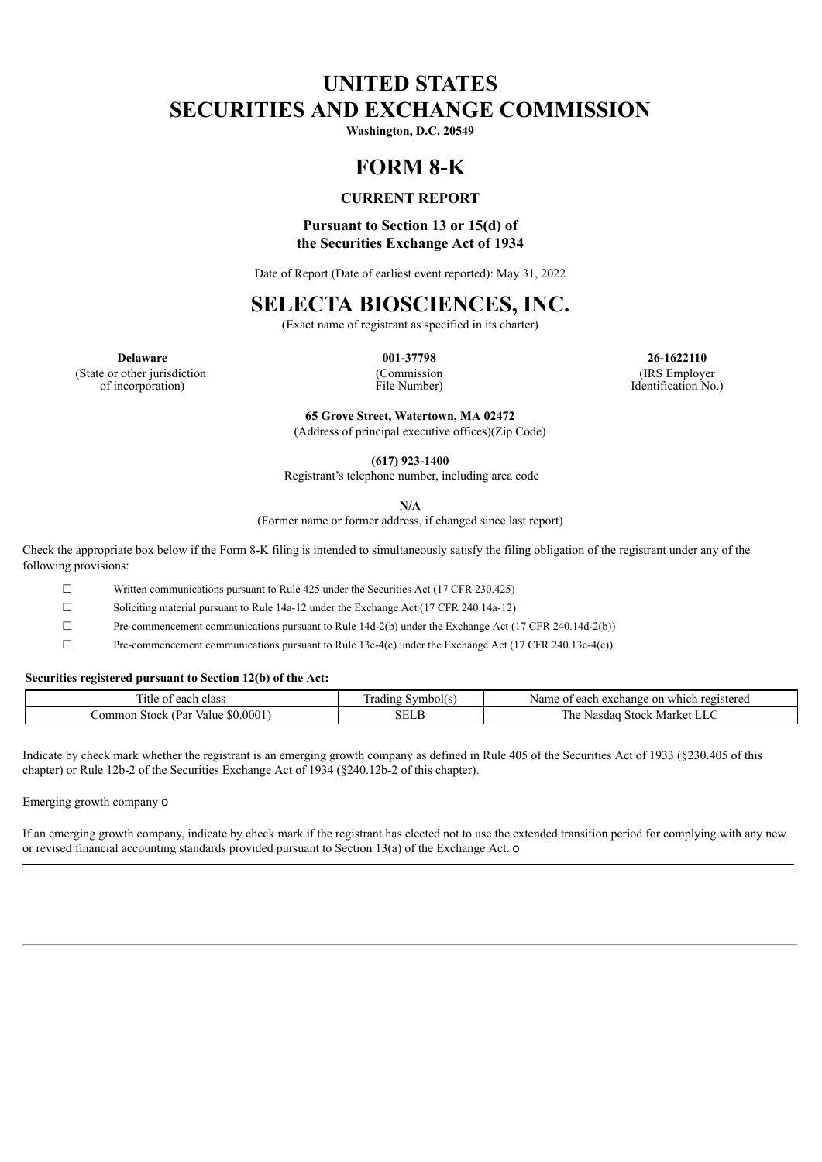# **UNITED STATES SECURITIES AND EXCHANGE COMMISSION**

**Washington, D.C. 20549**

# **FORM 8-K**

## **CURRENT REPORT**

## **Pursuant to Section 13 or 15(d) of the Securities Exchange Act of 1934**

Date of Report (Date of earliest event reported): May 31, 2022

## **SELECTA BIOSCIENCES, INC.**

(Exact name of registrant as specified in its charter)

(State or other jurisdiction of incorporation)

(Commission File Number)

**Delaware 001-37798 26-1622110** (IRS Employer Identification No.)

> **65 Grove Street, Watertown, MA 02472** (Address of principal executive offices)(Zip Code)

> > **(617) 923-1400**

Registrant's telephone number, including area code

**N/A**

(Former name or former address, if changed since last report)

Check the appropriate box below if the Form 8-K filing is intended to simultaneously satisfy the filing obligation of the registrant under any of the following provisions:

☐ Written communications pursuant to Rule 425 under the Securities Act (17 CFR 230.425)

☐ Soliciting material pursuant to Rule 14a-12 under the Exchange Act (17 CFR 240.14a-12)

☐ Pre-commencement communications pursuant to Rule 14d-2(b) under the Exchange Act (17 CFR 240.14d-2(b))

☐ Pre-commencement communications pursuant to Rule 13e-4(c) under the Exchange Act (17 CFR 240.13e-4(c))

### **Securities registered pursuant to Section 12(b) of the Act:**

| --<br>' Itl<br>each<br>class<br>$\sim$                   | radın <sup>.</sup><br>nholl | each<br>registered<br>Name of<br>which<br>exchange<br>n     |
|----------------------------------------------------------|-----------------------------|-------------------------------------------------------------|
| 0001<br>(Par<br>_ommon *<br><b>Stock</b><br>Value<br>NO. | . н                         | ---<br>1 he<br>. $510cV$<br>Market<br>.dac<br>Na.<br>◡<br>◡ |

Indicate by check mark whether the registrant is an emerging growth company as defined in Rule 405 of the Securities Act of 1933 (§230.405 of this chapter) or Rule 12b-2 of the Securities Exchange Act of 1934 (§240.12b-2 of this chapter).

Emerging growth company o

If an emerging growth company, indicate by check mark if the registrant has elected not to use the extended transition period for complying with any new or revised financial accounting standards provided pursuant to Section 13(a) of the Exchange Act. o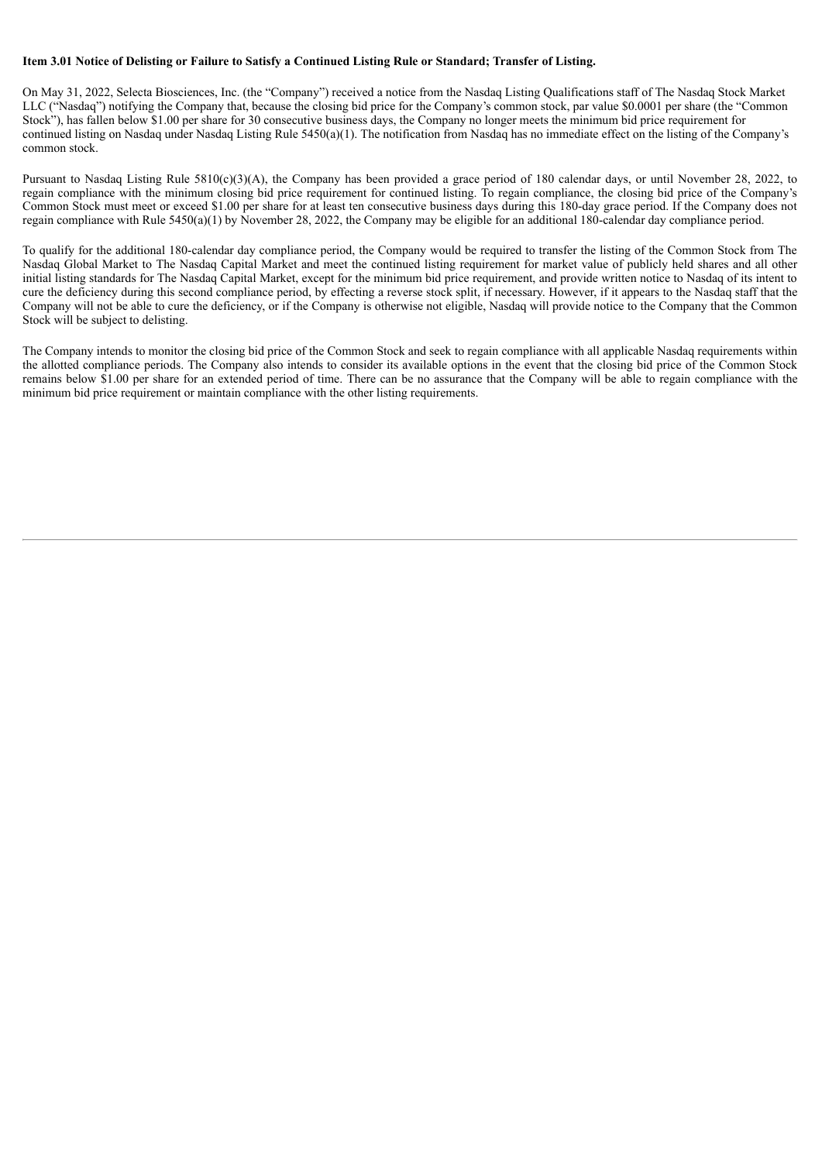#### Item 3.01 Notice of Delisting or Failure to Satisfy a Continued Listing Rule or Standard; Transfer of Listing.

On May 31, 2022, Selecta Biosciences, Inc. (the "Company") received a notice from the Nasdaq Listing Qualifications staff of The Nasdaq Stock Market LLC ("Nasdaq") notifying the Company that, because the closing bid price for the Company's common stock, par value \$0.0001 per share (the "Common Stock"), has fallen below \$1.00 per share for 30 consecutive business days, the Company no longer meets the minimum bid price requirement for continued listing on Nasdaq under Nasdaq Listing Rule 5450(a)(1). The notification from Nasdaq has no immediate effect on the listing of the Company's common stock.

Pursuant to Nasdaq Listing Rule 5810(c)(3)(A), the Company has been provided a grace period of 180 calendar days, or until November 28, 2022, to regain compliance with the minimum closing bid price requirement for continued listing. To regain compliance, the closing bid price of the Company's Common Stock must meet or exceed \$1.00 per share for at least ten consecutive business days during this 180-day grace period. If the Company does not regain compliance with Rule 5450(a)(1) by November 28, 2022, the Company may be eligible for an additional 180-calendar day compliance period.

To qualify for the additional 180-calendar day compliance period, the Company would be required to transfer the listing of the Common Stock from The Nasdaq Global Market to The Nasdaq Capital Market and meet the continued listing requirement for market value of publicly held shares and all other initial listing standards for The Nasdaq Capital Market, except for the minimum bid price requirement, and provide written notice to Nasdaq of its intent to cure the deficiency during this second compliance period, by effecting a reverse stock split, if necessary. However, if it appears to the Nasdaq staff that the Company will not be able to cure the deficiency, or if the Company is otherwise not eligible, Nasdaq will provide notice to the Company that the Common Stock will be subject to delisting.

The Company intends to monitor the closing bid price of the Common Stock and seek to regain compliance with all applicable Nasdaq requirements within the allotted compliance periods. The Company also intends to consider its available options in the event that the closing bid price of the Common Stock remains below \$1.00 per share for an extended period of time. There can be no assurance that the Company will be able to regain compliance with the minimum bid price requirement or maintain compliance with the other listing requirements.